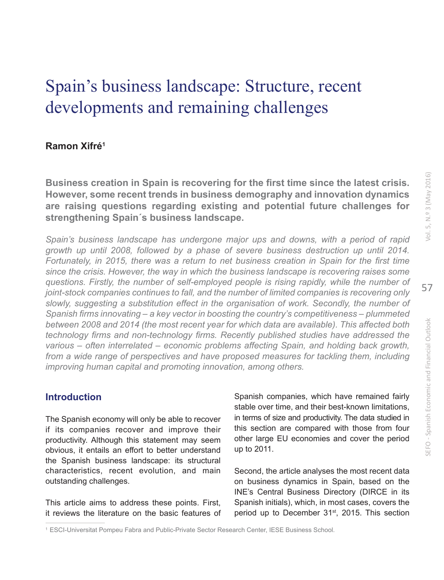# Spain's business landscape: Structure, recent developments and remaining challenges

## **Ramon Xifré1**

**Business creation in Spain is recovering for the first time since the latest crisis. However, some recent trends in business demography and innovation dynamics are raising questions regarding existing and potential future challenges for strengthening Spain´s business landscape.**

*Spain's business landscape has undergone major ups and downs, with a period of rapid growth up until 2008, followed by a phase of severe business destruction up until 2014. Fortunately, in 2015, there was a return to net business creation in Spain for the first time since the crisis. However, the way in which the business landscape is recovering raises some questions. Firstly, the number of self-employed people is rising rapidly, while the number of joint-stock companies continues to fall, and the number of limited companies is recovering only slowly, suggesting a substitution effect in the organisation of work. Secondly, the number of Spanish firms innovating – a key vector in boosting the country's competitiveness – plummeted between 2008 and 2014 (the most recent year for which data are available). This affected both technology firms and non-technology firms. Recently published studies have addressed the various – often interrelated – economic problems affecting Spain, and holding back growth,*  from a wide range of perspectives and have proposed measures for tackling them, including *improving human capital and promoting innovation, among others.*

## **Introduction**

The Spanish economy will only be able to recover if its companies recover and improve their productivity. Although this statement may seem obvious, it entails an effort to better understand the Spanish business landscape: its structural characteristics, recent evolution, and main outstanding challenges.

This article aims to address these points. First, it reviews the literature on the basic features of Spanish companies, which have remained fairly stable over time, and their best-known limitations, in terms of size and productivity. The data studied in this section are compared with those from four other large EU economies and cover the period up to 2011.

Second, the article analyses the most recent data on business dynamics in Spain, based on the INE's Central Business Directory (DIRCE in its Spanish initials), which, in most cases, covers the period up to December 31<sup>st</sup>, 2015. This section

<sup>1</sup> ESCI-Universitat Pompeu Fabra and Public-Private Sector Research Center, IESE Business School.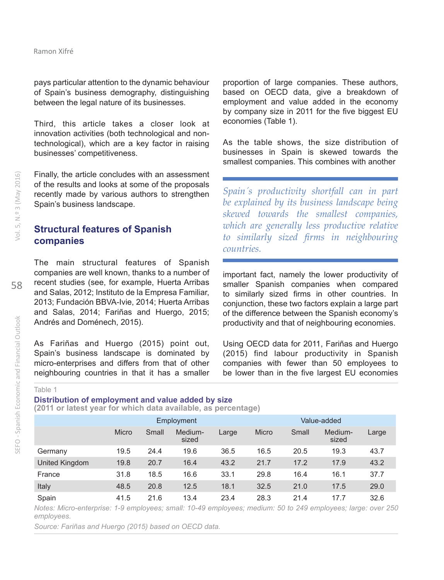pays particular attention to the dynamic behaviour of Spain's business demography, distinguishing between the legal nature of its businesses.

Third, this article takes a closer look at innovation activities (both technological and nontechnological), which are a key factor in raising businesses' competitiveness.

Finally, the article concludes with an assessment of the results and looks at some of the proposals recently made by various authors to strengthen Spain's business landscape.

# **Structural features of Spanish companies**

The main structural features of Spanish companies are well known, thanks to a number of recent studies (see, for example, Huerta Arribas and Salas, 2012; Instituto de la Empresa Familiar, 2013; Fundación BBVA-Ivie, 2014; Huerta Arribas and Salas, 2014; Fariñas and Huergo, 2015; Andrés and Doménech, 2015).

As Fariñas and Huergo (2015) point out, Spain's business landscape is dominated by micro-enterprises and differs from that of other neighbouring countries in that it has a smaller proportion of large companies. These authors, based on OECD data, give a breakdown of employment and value added in the economy by company size in 2011 for the five biggest EU economies (Table 1).

As the table shows, the size distribution of businesses in Spain is skewed towards the smallest companies. This combines with another

*Spain´s productivity shortfall can in part be explained by its business landscape being skewed towards the smallest companies, which are generally less productive relative to similarly sized firms in neighbouring countries.*

important fact, namely the lower productivity of smaller Spanish companies when compared to similarly sized firms in other countries. In conjunction, these two factors explain a large part of the difference between the Spanish economy's productivity and that of neighbouring economies.

Using OECD data for 2011, Fariñas and Huergo (2015) find labour productivity in Spanish companies with fewer than 50 employees to be lower than in the five largest EU economies

Table 1

#### **Distribution of employment and value added by size (2011 or latest year for which data available, as percentage)**

|                | Employment |       |                  |       | Value-added |       |                  |       |
|----------------|------------|-------|------------------|-------|-------------|-------|------------------|-------|
|                | Micro      | Small | Medium-<br>sized | Large | Micro       | Small | Medium-<br>sized | Large |
| Germany        | 19.5       | 24.4  | 19.6             | 36.5  | 16.5        | 20.5  | 19.3             | 43.7  |
| United Kingdom | 19.8       | 20.7  | 16.4             | 43.2  | 21.7        | 17.2  | 17.9             | 43.2  |
| France         | 31.8       | 18.5  | 16.6             | 33.1  | 29.8        | 16.4  | 16.1             | 37.7  |
| Italy          | 48.5       | 20.8  | 12.5             | 18.1  | 32.5        | 21.0  | 17.5             | 29.0  |
| Spain          | 41.5       | 21.6  | 13.4             | 23.4  | 28.3        | 21.4  | 17.7             | 32.6  |

*Notes: Micro-enterprise: 1-9 employees; small: 10-49 employees; medium: 50 to 249 employees; large: over 250 employees.*

*Source: Fariñas and Huergo (2015) based on OECD data.*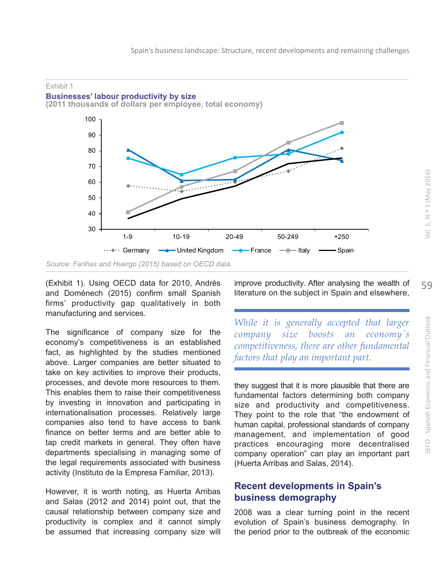

(Exhibit 1). Using OECD data for 2010, Andrés and Doménech (2015) confirm small Spanish firms' productivity gap qualitatively in both manufacturing and services.

The significance of company size for the economy's competitiveness is an established fact, as highlighted by the studies mentioned above. Larger companies are better situated to take on key activities to improve their products, processes, and devote more resources to them. This enables them to raise their competitiveness by investing in innovation and participating in internationalisation processes. Relatively large companies also tend to have access to bank finance on better terms and are better able to tap credit markets in general. They often have departments specialising in managing some of the legal requirements associated with business activity (Instituto de la Empresa Familiar, 2013).

However, it is worth noting, as Huerta Arribas and Salas (2012 and 2014) point out, that the causal relationship between company size and productivity is complex and it cannot simply be assumed that increasing company size will

improve productivity. After analysing the wealth of literature on the subject in Spain and elsewhere,

*While it is generally accepted that larger company size boosts an economy´s competitiveness, there are other fundamental factors that play an important part.*

they suggest that it is more plausible that there are fundamental factors determining both company size and productivity and competitiveness. They point to the role that "the endowment of human capital, professional standards of company management, and implementation of good practices encouraging more decentralised company operation" can play an important part (Huerta Arribas and Salas, 2014).

## **Recent developments in Spain's business demography**

2008 was a clear turning point in the recent evolution of Spain's business demography. In the period prior to the outbreak of the economic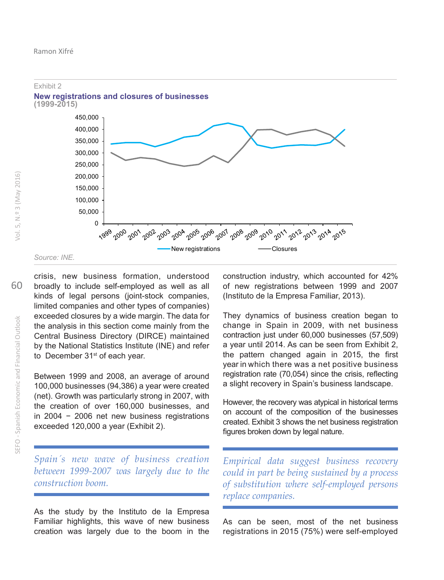

crisis, new business formation, understood broadly to include self-employed as well as all kinds of legal persons (joint-stock companies, limited companies and other types of companies) exceeded closures by a wide margin. The data for the analysis in this section come mainly from the Central Business Directory (DIRCE) maintained by the National Statistics Institute (INE) and refer to December 31<sup>st</sup> of each year.

Between 1999 and 2008, an average of around 100,000 businesses (94,386) a year were created (net). Growth was particularly strong in 2007, with the creation of over 160,000 businesses, and in 2004 − 2006 net new business registrations exceeded 120,000 a year (Exhibit 2).

*Spain´s new wave of business creation between 1999-2007 was largely due to the construction boom.*

As the study by the Instituto de la Empresa Familiar highlights, this wave of new business creation was largely due to the boom in the

construction industry, which accounted for 42% of new registrations between 1999 and 2007 (Instituto de la Empresa Familiar, 2013).

They dynamics of business creation began to change in Spain in 2009, with net business contraction just under 60,000 businesses (57,509) a year until 2014. As can be seen from Exhibit 2, the pattern changed again in 2015, the first year in which there was a net positive business registration rate (70,054) since the crisis, reflecting a slight recovery in Spain's business landscape.

However, the recovery was atypical in historical terms on account of the composition of the businesses created. Exhibit 3 shows the net business registration figures broken down by legal nature.

*Empirical data suggest business recovery could in part be being sustained by a process of substitution where self-employed persons replace companies.*

As can be seen, most of the net business registrations in 2015 (75%) were self-employed

60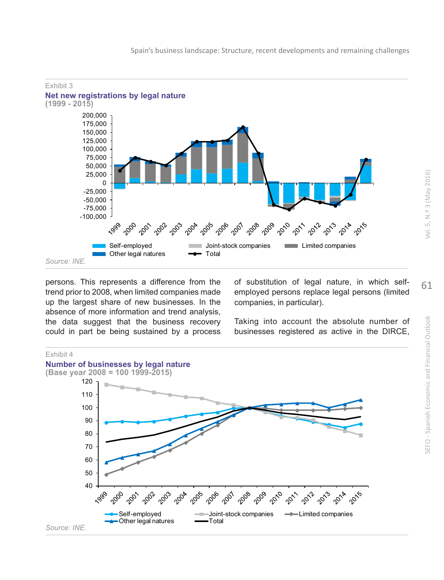



persons. This represents a difference from the trend prior to 2008, when limited companies made up the largest share of new businesses. In the absence of more information and trend analysis, the data suggest that the business recovery could in part be being sustained by a process

of substitution of legal nature, in which selfemployed persons replace legal persons (limited companies, in particular).

Taking into account the absolute number of businesses registered as active in the DIRCE,



Vol. 5, N.º 3 (May 2016)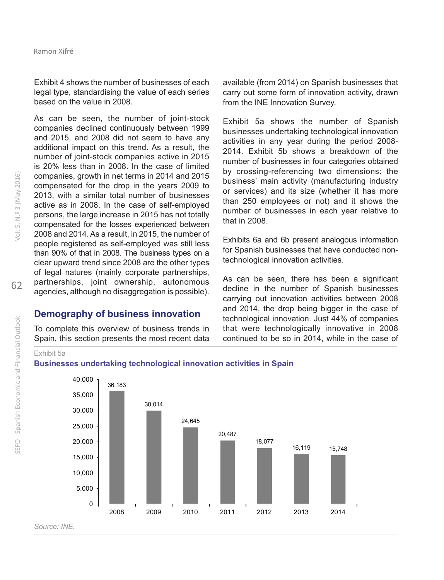Exhibit 4 shows the number of businesses of each legal type, standardising the value of each series based on the value in 2008.

As can be seen, the number of joint-stock companies declined continuously between 1999 and 2015, and 2008 did not seem to have any additional impact on this trend. As a result, the number of joint-stock companies active in 2015 is 20% less than in 2008. In the case of limited companies, growth in net terms in 2014 and 2015 compensated for the drop in the years 2009 to 2013, with a similar total number of businesses active as in 2008. In the case of self-employed persons, the large increase in 2015 has not totally compensated for the losses experienced between 2008 and 2014. As a result, in 2015, the number of people registered as self-employed was still less than 90% of that in 2008. The business types on a clear upward trend since 2008 are the other types of legal natures (mainly corporate partnerships, partnerships, joint ownership, autonomous agencies, although no disaggregation is possible).

### **Demography of business innovation**

To complete this overview of business trends in Spain, this section presents the most recent data

available (from 2014) on Spanish businesses that carry out some form of innovation activity, drawn from the INE Innovation Survey.

Exhibit 5a shows the number of Spanish businesses undertaking technological innovation activities in any year during the period 2008- 2014. Exhibit 5b shows a breakdown of the number of businesses in four categories obtained by crossing-referencing two dimensions: the business' main activity (manufacturing industry or services) and its size (whether it has more than 250 employees or not) and it shows the number of businesses in each year relative to that in 2008.

Exhibits 6a and 6b present analogous information for Spanish businesses that have conducted nontechnological innovation activities.

As can be seen, there has been a significant decline in the number of Spanish businesses carrying out innovation activities between 2008 and 2014, the drop being bigger in the case of technological innovation. Just 44% of companies that were technologically innovative in 2008 continued to be so in 2014, while in the case of

SEFO - Spanish Economic and Financial Outlook



#### **Businesses undertaking technological innovation activities in Spain**



*Source: INE.*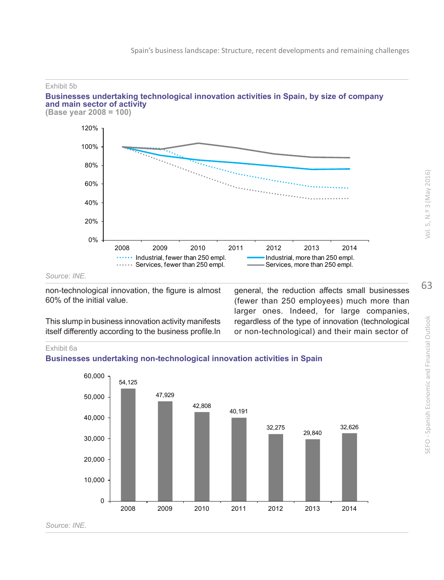

*Source: INE.*

non-technological innovation, the figure is almost 60% of the initial value.

This slump in business innovation activity manifests itself differently according to the business profile.In general, the reduction affects small businesses (fewer than 250 employees) much more than larger ones. Indeed, for large companies, regardless of the type of innovation (technological or non-technological) and their main sector of

Exhibit 6a

#### **Businesses undertaking non-technological innovation activities in Spain**

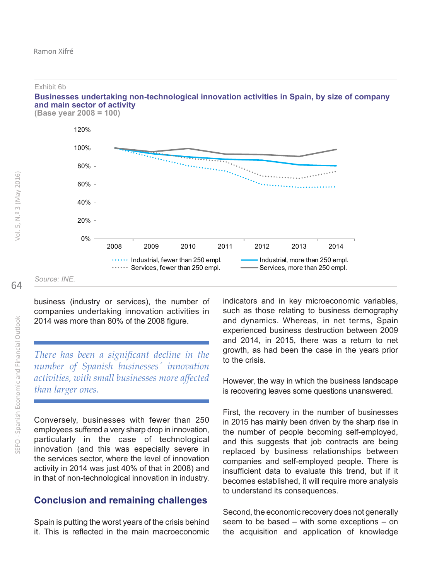**Businesses undertaking non-technological innovation activities in Spain, by size of company and main sector of activity (Base year 2008 = 100)**



business (industry or services), the number of companies undertaking innovation activities in 2014 was more than 80% of the 2008 figure.

*There has been a significant decline in the number of Spanish businesses´ innovation activities, with small businesses more affected than larger ones.*

Conversely, businesses with fewer than 250 employees suffered a very sharp drop in innovation, particularly in the case of technological innovation (and this was especially severe in the services sector, where the level of innovation activity in 2014 was just 40% of that in 2008) and in that of non-technological innovation in industry.

### **Conclusion and remaining challenges**

Spain is putting the worst years of the crisis behind it. This is reflected in the main macroeconomic indicators and in key microeconomic variables, such as those relating to business demography and dynamics. Whereas, in net terms, Spain experienced business destruction between 2009 and 2014, in 2015, there was a return to net growth, as had been the case in the years prior to the crisis.

However, the way in which the business landscape is recovering leaves some questions unanswered.

First, the recovery in the number of businesses in 2015 has mainly been driven by the sharp rise in the number of people becoming self-employed, and this suggests that job contracts are being replaced by business relationships between companies and self-employed people. There is insufficient data to evaluate this trend, but if it becomes established, it will require more analysis to understand its consequences.

Second, the economic recovery does not generally seem to be based – with some exceptions – on the acquisition and application of knowledge